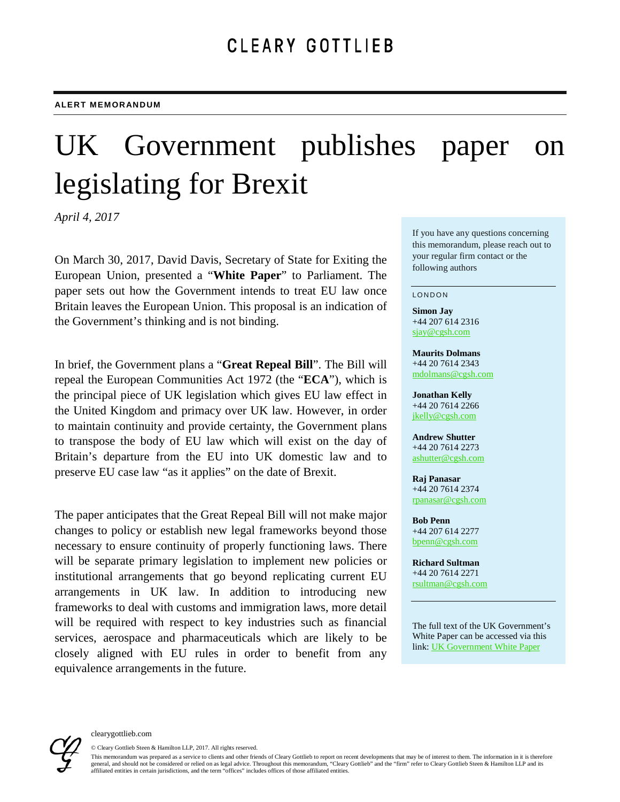# UK Government publishes paper on legislating for Brexit

*April 4, 2017*

On March 30, 2017, David Davis, Secretary of State for Exiting the European Union, presented a "**White Paper**" to Parliament. The paper sets out how the Government intends to treat EU law once Britain leaves the European Union. This proposal is an indication of the Government's thinking and is not binding.

In brief, the Government plans a "**Great Repeal Bill**". The Bill will repeal the European Communities Act 1972 (the "**ECA**"), which is the principal piece of UK legislation which gives EU law effect in the United Kingdom and primacy over UK law. However, in order to maintain continuity and provide certainty, the Government plans to transpose the body of EU law which will exist on the day of Britain's departure from the EU into UK domestic law and to preserve EU case law "as it applies" on the date of Brexit.

The paper anticipates that the Great Repeal Bill will not make major changes to policy or establish new legal frameworks beyond those necessary to ensure continuity of properly functioning laws. There will be separate primary legislation to implement new policies or institutional arrangements that go beyond replicating current EU arrangements in UK law. In addition to introducing new frameworks to deal with customs and immigration laws, more detail will be required with respect to key industries such as financial services, aerospace and pharmaceuticals which are likely to be closely aligned with EU rules in order to benefit from any equivalence arrangements in the future.

If you have any questions concerning this memorandum, please reach out to your regular firm contact or the following authors

#### LONDON

**Simon Jay** +44 207 614 2316 [sjay@cgsh.com](mailto:sjay@cgsh.com)

**Maurits Dolmans**  +44 20 7614 2343 [mdolmans@cgsh.com](mailto:mdolmans@cgsh.com)

#### **Jonathan Kelly**  +44 20 7614 2266

[jkelly@cgsh.com](mailto:jkelly@cgsh.com)

#### **Andrew Shutter** +44 20 7614 2273 [ashutter@cgsh.com](mailto:ashutter@cgsh.com)

**Raj Panasar** +44 20 7614 2374 [rpanasar@cgsh.com](mailto:rpanasar@cgsh.com) 

**Bob Penn** +44 207 614 2277 [bpenn@cgsh.com](mailto:bpenn@cgsh.com)

**Richard Sultman**  +44 20 7614 2271 [rsultman@cgsh.com](mailto:rsultman@cgsh.com)

The full text of the UK Government's White Paper can be accessed via this link: [UK Government White Paper](https://www.gov.uk/government/uploads/system/uploads/attachment_data/file/604516/Great_repeal_bill_white_paper_accessible.pdf)



© Cleary Gottlieb Steen & Hamilton LLP, 2017. All rights reserved.

This memorandum was prepared as a service to clients and other friends of Cleary Gottlieb to report on recent developments that may be of interest to them. The information in it is therefore general, and should not be considered or relied on as legal advice. Throughout this memorandum, "Cleary Gottlieb" and the "firm" refer to Cleary Gottlieb Steen & Hamilton LLP and its affiliated entities in certain jurisdictions, and the term "offices" includes offices of those affiliated entities.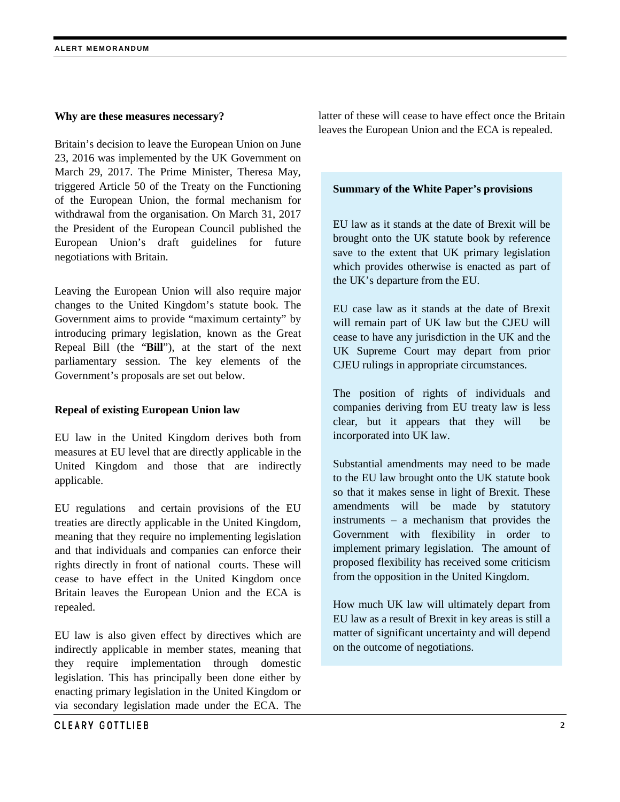## **Why are these measures necessary?**

Britain's decision to leave the European Union on June 23, 2016 was implemented by the UK Government on March 29, 2017. The Prime Minister, Theresa May, triggered Article 50 of the Treaty on the Functioning of the European Union, the formal mechanism for withdrawal from the organisation. On March 31, 2017 the President of the European Council published the European Union's draft guidelines for future negotiations with Britain.

Leaving the European Union will also require major changes to the United Kingdom's statute book. The Government aims to provide "maximum certainty" by introducing primary legislation, known as the Great Repeal Bill (the "**Bill**"), at the start of the next parliamentary session. The key elements of the Government's proposals are set out below.

# **Repeal of existing European Union law**

EU law in the United Kingdom derives both from measures at EU level that are directly applicable in the United Kingdom and those that are indirectly applicable.

EU regulations and certain provisions of the EU treaties are directly applicable in the United Kingdom, meaning that they require no implementing legislation and that individuals and companies can enforce their rights directly in front of national courts. These will cease to have effect in the United Kingdom once Britain leaves the European Union and the ECA is repealed.

EU law is also given effect by directives which are indirectly applicable in member states, meaning that they require implementation through domestic legislation. This has principally been done either by enacting primary legislation in the United Kingdom or via secondary legislation made under the ECA. The

latter of these will cease to have effect once the Britain leaves the European Union and the ECA is repealed.

# **Summary of the White Paper's provisions**

EU law as it stands at the date of Brexit will be brought onto the UK statute book by reference save to the extent that UK primary legislation which provides otherwise is enacted as part of the UK's departure from the EU.

EU case law as it stands at the date of Brexit will remain part of UK law but the CJEU will cease to have any jurisdiction in the UK and the UK Supreme Court may depart from prior CJEU rulings in appropriate circumstances.

The position of rights of individuals and companies deriving from EU treaty law is less clear, but it appears that they will be incorporated into UK law.

Substantial amendments may need to be made to the EU law brought onto the UK statute book so that it makes sense in light of Brexit. These amendments will be made by statutory instruments – a mechanism that provides the Government with flexibility in order to implement primary legislation. The amount of proposed flexibility has received some criticism from the opposition in the United Kingdom.

How much UK law will ultimately depart from EU law as a result of Brexit in key areas is still a matter of significant uncertainty and will depend on the outcome of negotiations.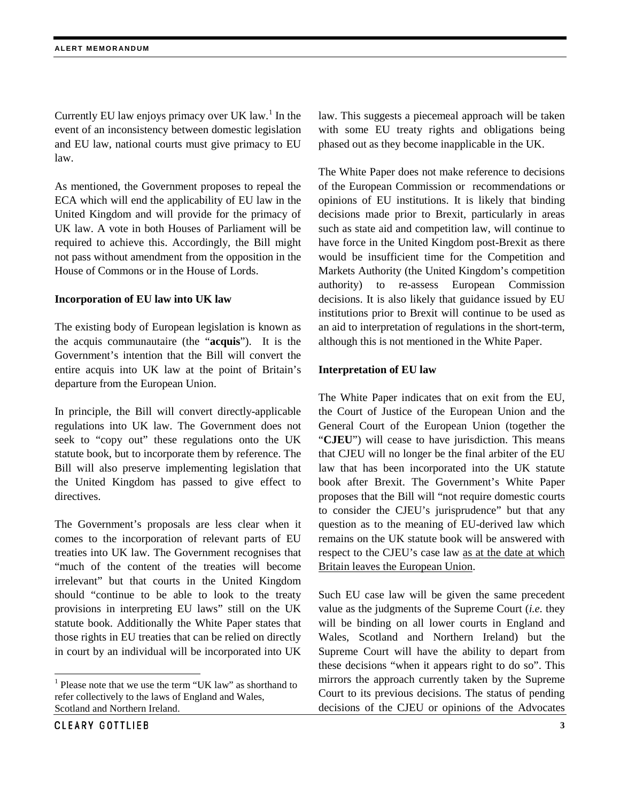Currently EU law enjoys primacy over UK law.<sup>[1](#page-2-0)</sup> In the event of an inconsistency between domestic legislation and EU law, national courts must give primacy to EU law.

As mentioned, the Government proposes to repeal the ECA which will end the applicability of EU law in the United Kingdom and will provide for the primacy of UK law. A vote in both Houses of Parliament will be required to achieve this. Accordingly, the Bill might not pass without amendment from the opposition in the House of Commons or in the House of Lords.

## **Incorporation of EU law into UK law**

The existing body of European legislation is known as the acquis communautaire (the "**acquis**"). It is the Government's intention that the Bill will convert the entire acquis into UK law at the point of Britain's departure from the European Union.

In principle, the Bill will convert directly-applicable regulations into UK law. The Government does not seek to "copy out" these regulations onto the UK statute book, but to incorporate them by reference. The Bill will also preserve implementing legislation that the United Kingdom has passed to give effect to directives.

The Government's proposals are less clear when it comes to the incorporation of relevant parts of EU treaties into UK law. The Government recognises that "much of the content of the treaties will become irrelevant" but that courts in the United Kingdom should "continue to be able to look to the treaty provisions in interpreting EU laws" still on the UK statute book. Additionally the White Paper states that those rights in EU treaties that can be relied on directly in court by an individual will be incorporated into UK

law. This suggests a piecemeal approach will be taken with some EU treaty rights and obligations being phased out as they become inapplicable in the UK.

The White Paper does not make reference to decisions of the European Commission or recommendations or opinions of EU institutions. It is likely that binding decisions made prior to Brexit, particularly in areas such as state aid and competition law, will continue to have force in the United Kingdom post-Brexit as there would be insufficient time for the Competition and Markets Authority (the United Kingdom's competition authority) to re-assess European Commission decisions. It is also likely that guidance issued by EU institutions prior to Brexit will continue to be used as an aid to interpretation of regulations in the short-term, although this is not mentioned in the White Paper.

## **Interpretation of EU law**

The White Paper indicates that on exit from the EU, the Court of Justice of the European Union and the General Court of the European Union (together the "CJEU") will cease to have jurisdiction. This means that CJEU will no longer be the final arbiter of the EU law that has been incorporated into the UK statute book after Brexit. The Government's White Paper proposes that the Bill will "not require domestic courts to consider the CJEU's jurisprudence" but that any question as to the meaning of EU-derived law which remains on the UK statute book will be answered with respect to the CJEU's case law as at the date at which Britain leaves the European Union.

Such EU case law will be given the same precedent value as the judgments of the Supreme Court (*i.e.* they will be binding on all lower courts in England and Wales, Scotland and Northern Ireland) but the Supreme Court will have the ability to depart from these decisions "when it appears right to do so". This mirrors the approach currently taken by the Supreme Court to its previous decisions. The status of pending decisions of the CJEU or opinions of the Advocates

<span id="page-2-0"></span><sup>&</sup>lt;sup>1</sup> Please note that we use the term "UK law" as shorthand to refer collectively to the laws of England and Wales, Scotland and Northern Ireland.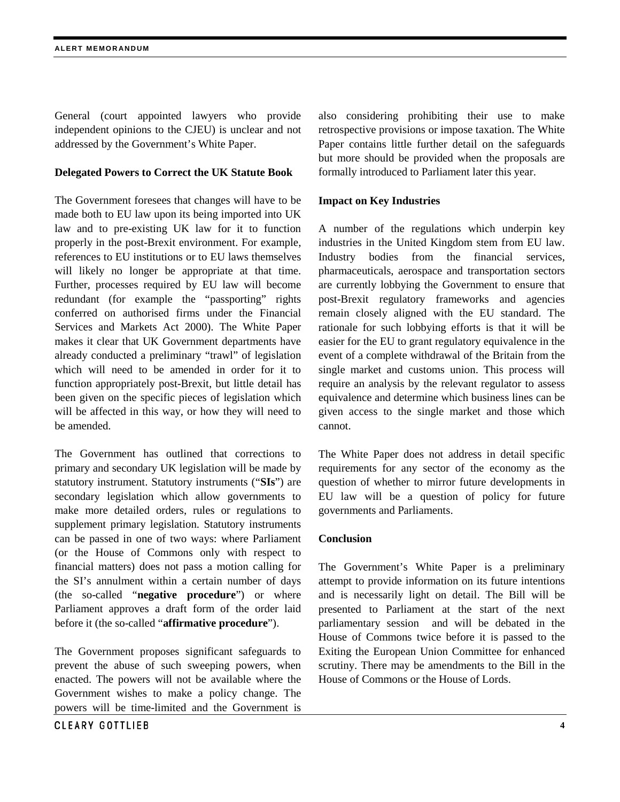General (court appointed lawyers who provide independent opinions to the CJEU) is unclear and not addressed by the Government's White Paper.

# **Delegated Powers to Correct the UK Statute Book**

The Government foresees that changes will have to be made both to EU law upon its being imported into UK law and to pre-existing UK law for it to function properly in the post-Brexit environment. For example, references to EU institutions or to EU laws themselves will likely no longer be appropriate at that time. Further, processes required by EU law will become redundant (for example the "passporting" rights conferred on authorised firms under the Financial Services and Markets Act 2000). The White Paper makes it clear that UK Government departments have already conducted a preliminary "trawl" of legislation which will need to be amended in order for it to function appropriately post-Brexit, but little detail has been given on the specific pieces of legislation which will be affected in this way, or how they will need to be amended.

The Government has outlined that corrections to primary and secondary UK legislation will be made by statutory instrument. Statutory instruments ("**SIs**") are secondary legislation which allow governments to make more detailed orders, rules or regulations to supplement primary legislation. Statutory instruments can be passed in one of two ways: where Parliament (or the House of Commons only with respect to financial matters) does not pass a motion calling for the SI's annulment within a certain number of days (the so-called "**negative procedure**") or where Parliament approves a draft form of the order laid before it (the so-called "**affirmative procedure**").

The Government proposes significant safeguards to prevent the abuse of such sweeping powers, when enacted. The powers will not be available where the Government wishes to make a policy change. The powers will be time-limited and the Government is also considering prohibiting their use to make retrospective provisions or impose taxation. The White Paper contains little further detail on the safeguards but more should be provided when the proposals are formally introduced to Parliament later this year.

# **Impact on Key Industries**

A number of the regulations which underpin key industries in the United Kingdom stem from EU law. Industry bodies from the financial services, pharmaceuticals, aerospace and transportation sectors are currently lobbying the Government to ensure that post-Brexit regulatory frameworks and agencies remain closely aligned with the EU standard. The rationale for such lobbying efforts is that it will be easier for the EU to grant regulatory equivalence in the event of a complete withdrawal of the Britain from the single market and customs union. This process will require an analysis by the relevant regulator to assess equivalence and determine which business lines can be given access to the single market and those which cannot.

The White Paper does not address in detail specific requirements for any sector of the economy as the question of whether to mirror future developments in EU law will be a question of policy for future governments and Parliaments.

# **Conclusion**

The Government's White Paper is a preliminary attempt to provide information on its future intentions and is necessarily light on detail. The Bill will be presented to Parliament at the start of the next parliamentary session and will be debated in the House of Commons twice before it is passed to the Exiting the European Union Committee for enhanced scrutiny. There may be amendments to the Bill in the House of Commons or the House of Lords.